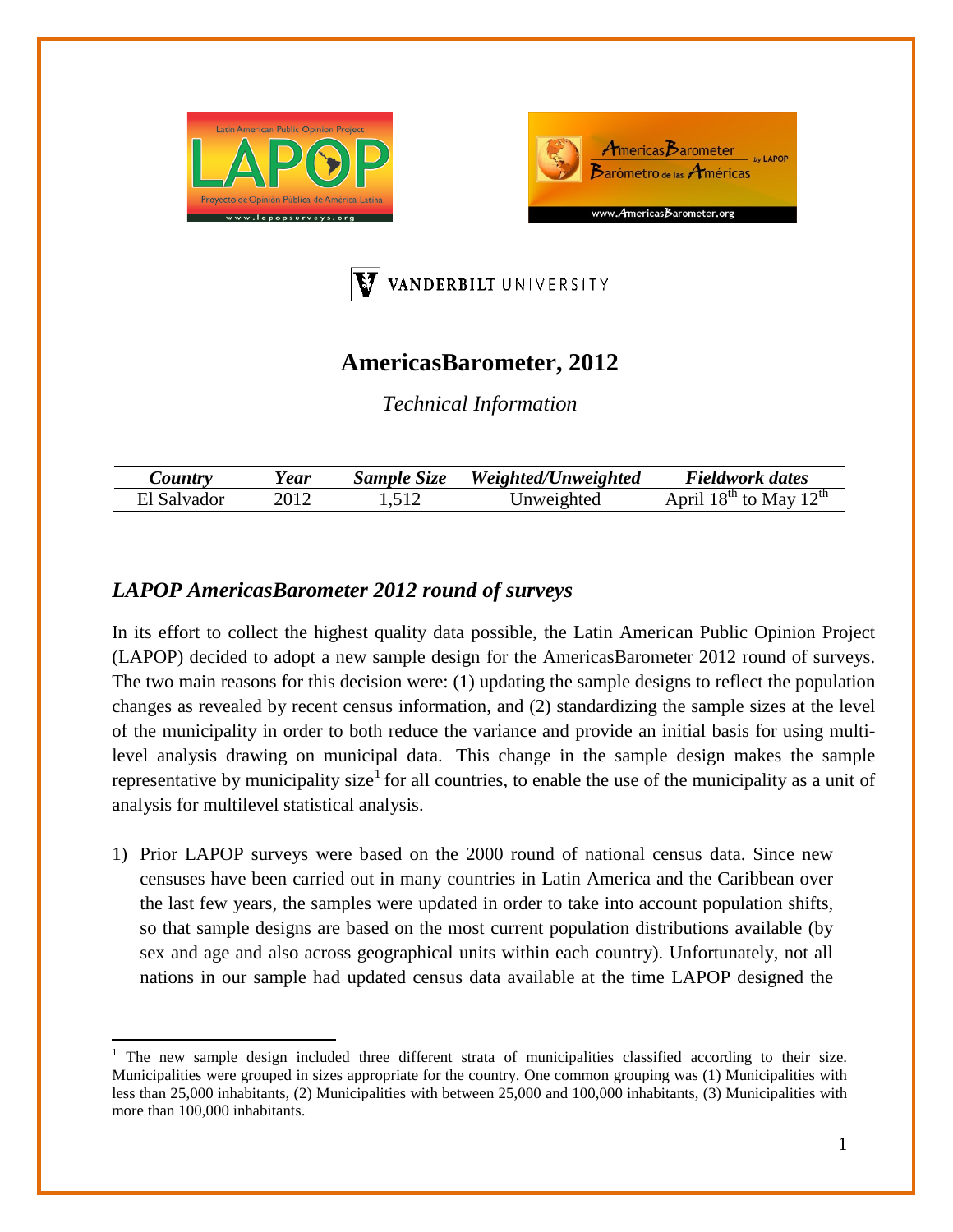





## **AmericasBarometer, 2012**

*Technical Information*

| $\mathcal{L}$ <i>ountry</i> | 'ear | Sample Size | Weighted/Unweighted | <b>Fieldwork dates</b>                                         |
|-----------------------------|------|-------------|---------------------|----------------------------------------------------------------|
| El Salvador                 |      |             | Jnweighted          | $\text{Mav} 12^{\text{th}}$<br>$18^{\text{th}}$<br>April<br>tΩ |

## *LAPOP AmericasBarometer 2012 round of surveys*

In its effort to collect the highest quality data possible, the Latin American Public Opinion Project (LAPOP) decided to adopt a new sample design for the AmericasBarometer 2012 round of surveys. The two main reasons for this decision were: (1) updating the sample designs to reflect the population changes as revealed by recent census information, and (2) standardizing the sample sizes at the level of the municipality in order to both reduce the variance and provide an initial basis for using multilevel analysis drawing on municipal data. This change in the sample design makes the sample representative by municipality size<sup>[1](#page-0-0)</sup> for all countries, to enable the use of the municipality as a unit of analysis for multilevel statistical analysis.

1) Prior LAPOP surveys were based on the 2000 round of national census data. Since new censuses have been carried out in many countries in Latin America and the Caribbean over the last few years, the samples were updated in order to take into account population shifts, so that sample designs are based on the most current population distributions available (by sex and age and also across geographical units within each country). Unfortunately, not all nations in our sample had updated census data available at the time LAPOP designed the

<span id="page-0-1"></span><span id="page-0-0"></span><sup>1</sup> The new sample design included three different strata of municipalities classified according to their size. Municipalities were grouped in sizes appropriate for the country. One common grouping was (1) Municipalities with less than 25,000 inhabitants, (2) Municipalities with between 25,000 and 100,000 inhabitants, (3) Municipalities with more than 100,000 inhabitants.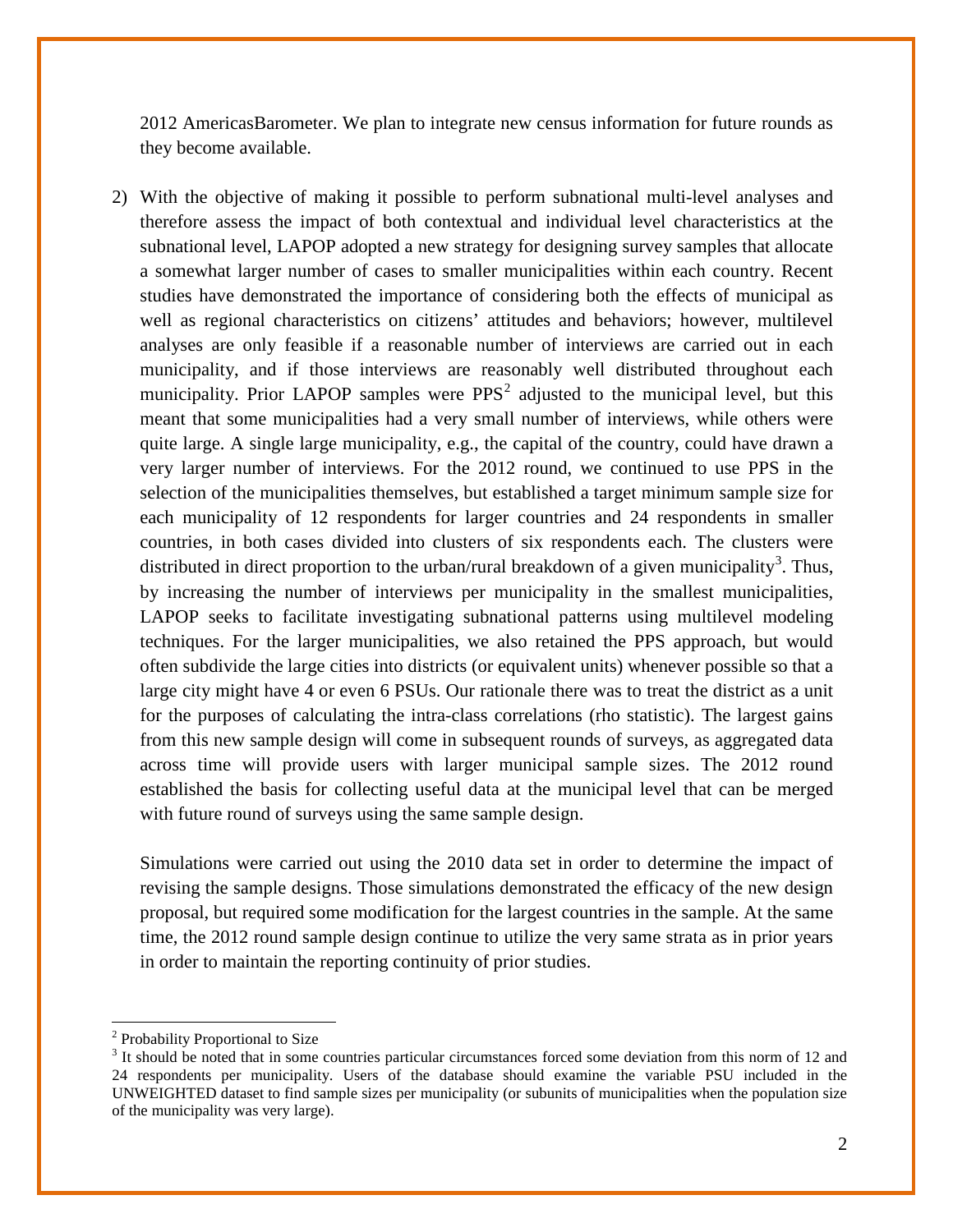2012 AmericasBarometer. We plan to integrate new census information for future rounds as they become available.

2) With the objective of making it possible to perform subnational multi-level analyses and therefore assess the impact of both contextual and individual level characteristics at the subnational level, LAPOP adopted a new strategy for designing survey samples that allocate a somewhat larger number of cases to smaller municipalities within each country. Recent studies have demonstrated the importance of considering both the effects of municipal as well as regional characteristics on citizens' attitudes and behaviors; however, multilevel analyses are only feasible if a reasonable number of interviews are carried out in each municipality, and if those interviews are reasonably well distributed throughout each municipality. Prior LAPOP samples were  $PPS<sup>2</sup>$  $PPS<sup>2</sup>$  $PPS<sup>2</sup>$  adjusted to the municipal level, but this meant that some municipalities had a very small number of interviews, while others were quite large. A single large municipality, e.g., the capital of the country, could have drawn a very larger number of interviews. For the 2012 round, we continued to use PPS in the selection of the municipalities themselves, but established a target minimum sample size for each municipality of 12 respondents for larger countries and 24 respondents in smaller countries, in both cases divided into clusters of six respondents each. The clusters were distributed in direct proportion to the urban/rural breakdown of a given municipality<sup>[3](#page-1-0)</sup>. Thus, by increasing the number of interviews per municipality in the smallest municipalities, LAPOP seeks to facilitate investigating subnational patterns using multilevel modeling techniques. For the larger municipalities, we also retained the PPS approach, but would often subdivide the large cities into districts (or equivalent units) whenever possible so that a large city might have 4 or even 6 PSUs. Our rationale there was to treat the district as a unit for the purposes of calculating the intra-class correlations (rho statistic). The largest gains from this new sample design will come in subsequent rounds of surveys, as aggregated data across time will provide users with larger municipal sample sizes. The 2012 round established the basis for collecting useful data at the municipal level that can be merged with future round of surveys using the same sample design.

Simulations were carried out using the 2010 data set in order to determine the impact of revising the sample designs. Those simulations demonstrated the efficacy of the new design proposal, but required some modification for the largest countries in the sample. At the same time, the 2012 round sample design continue to utilize the very same strata as in prior years in order to maintain the reporting continuity of prior studies.

<sup>2</sup> Probability Proportional to Size

<span id="page-1-0"></span><sup>&</sup>lt;sup>3</sup> It should be noted that in some countries particular circumstances forced some deviation from this norm of 12 and 24 respondents per municipality. Users of the database should examine the variable PSU included in the UNWEIGHTED dataset to find sample sizes per municipality (or subunits of municipalities when the population size of the municipality was very large).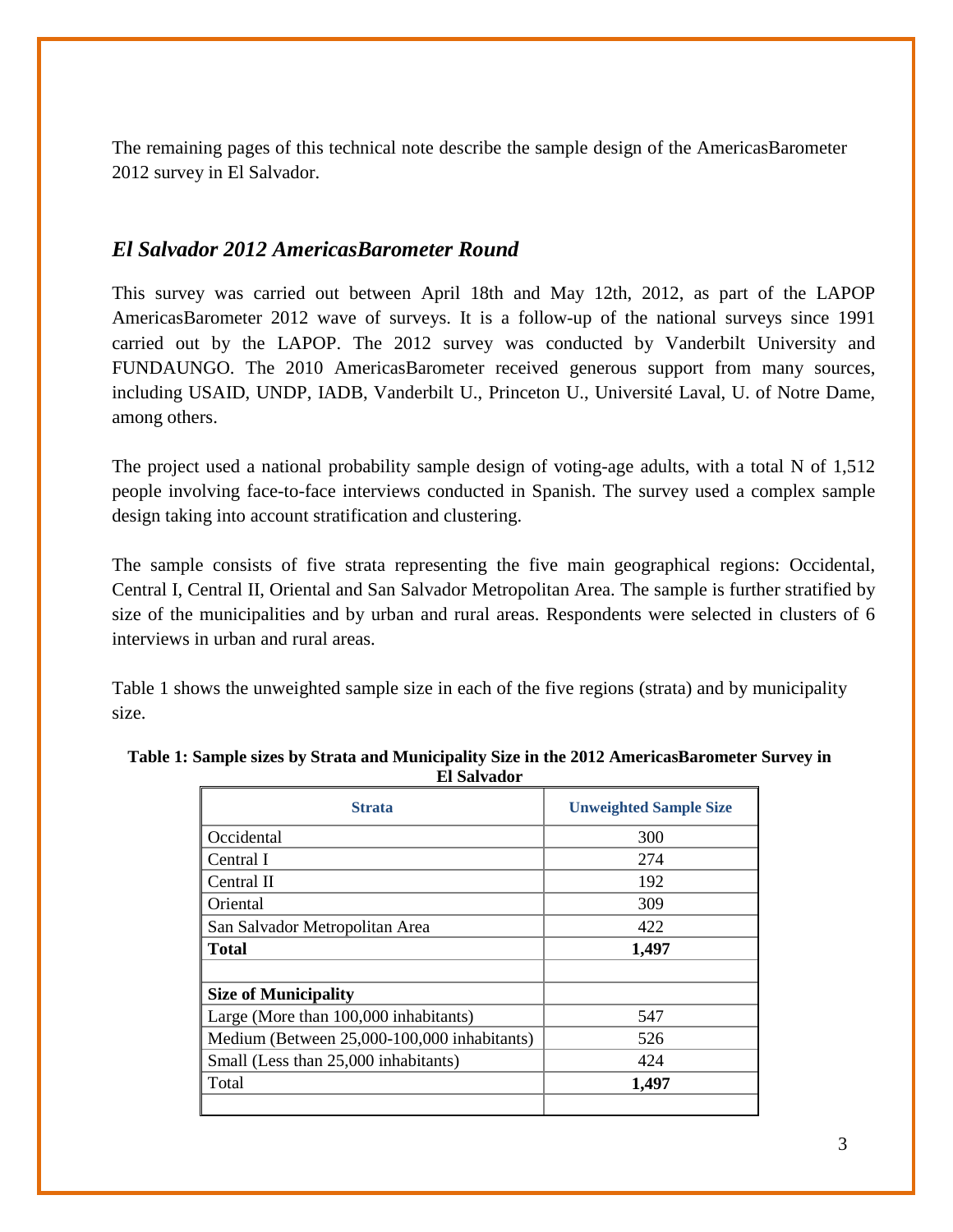The remaining pages of this technical note describe the sample design of the AmericasBarometer 2012 survey in El Salvador.

## *El Salvador 2012 AmericasBarometer Round*

This survey was carried out between April 18th and May 12th, 2012, as part of the LAPOP AmericasBarometer 2012 wave of surveys. It is a follow-up of the national surveys since 1991 carried out by the LAPOP. The 2012 survey was conducted by Vanderbilt University and FUNDAUNGO. The 2010 AmericasBarometer received generous support from many sources, including USAID, UNDP, IADB, Vanderbilt U., Princeton U., Université Laval, U. of Notre Dame, among others.

The project used a national probability sample design of voting-age adults, with a total N of 1,512 people involving face-to-face interviews conducted in Spanish. The survey used a complex sample design taking into account stratification and clustering.

The sample consists of five strata representing the five main geographical regions: Occidental, Central I, Central II, Oriental and San Salvador Metropolitan Area. The sample is further stratified by size of the municipalities and by urban and rural areas. Respondents were selected in clusters of 6 interviews in urban and rural areas.

Table 1 shows the unweighted sample size in each of the five regions (strata) and by municipality size.

| <b>Strata</b>                               | <b>Unweighted Sample Size</b> |
|---------------------------------------------|-------------------------------|
| Occidental                                  | 300                           |
| Central I                                   | 274                           |
| Central II                                  | 192                           |
| Oriental                                    | 309                           |
| San Salvador Metropolitan Area              | 422                           |
| <b>Total</b>                                | 1,497                         |
|                                             |                               |
| <b>Size of Municipality</b>                 |                               |
| Large (More than 100,000 inhabitants)       | 547                           |
| Medium (Between 25,000-100,000 inhabitants) | 526                           |
| Small (Less than 25,000 inhabitants)        | 424                           |
| Total                                       | 1,497                         |
|                                             |                               |

**Table 1: Sample sizes by Strata and Municipality Size in the 2012 AmericasBarometer Survey in El Salvador**